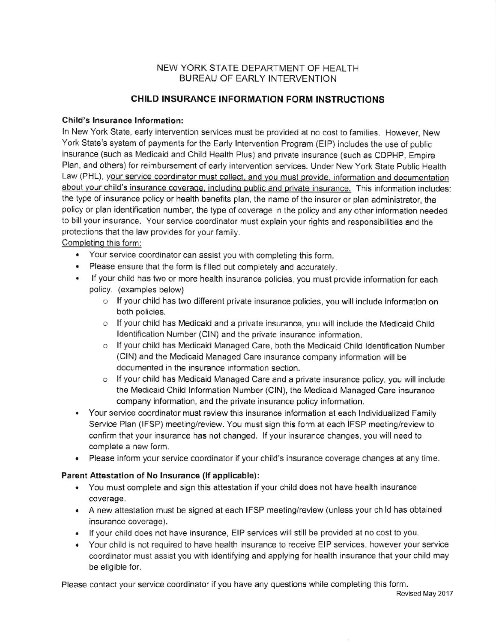## NEW YORK STATE DEPARTMENT OF HEALTH BUREAU OF EARLY INTERVENTION

## CHILD INSURANCE INFORMATION FORM INSTRUCTIONS

#### Child's Insurance Information:

In New York State, early intervention services must be provided at no cost to families. However, New York State's system of payments for the Early lntervention Program (ElP) includes the use of public insurance (such as Medicaid and Child Health Plus) and private insurance (such as CDPHP, Empire Plan, and others) for reimbursement of early intervention services. Under New York State Public Health Law (PHL), your service coordinator must collect, and you must provide, information and documentation about your child's insurance coverage, including public and private insurance. This information includes: the type of insurance policy or health benefits plan, the name of the insurer or plan administrator, the policy or pian identification number, the type of coverage in the policy and any other information needed to bill your insurance. Your service coordinator must explain your rights and responsibilities and the protections that the law provides for your family.

## Completing this form:

- . Your service coordinator can assist you with completing this form.
- . Please ensure that the form is filled out completely and accurately.
- . lf your child has two or more health insurance policies, you must provide information for each policy. (examples below)
	- o lf your child has two different private insurance policies, you will include information on both policies.
	- o If your child has Medicaid and a private insurance, you will include the Medicaid Child Identification Number (CIN) and the private insurance information.
	- o lfyour child has Medicaid Managed Care, both the Medicaid Child ldentification Number (CIN) and the Medicaid Managed Care insurance company information will be documented in the insurance information section.
	- $\circ$  If your child has Medicaid Managed Care and a private insurance policy, you will include the Medicaid Child Information Number (CIN), the Medicaid Managed Care insurance company information, and the private insurance policy information.
- . Your service coordinator must review this insurance information at each lndividualized Family Service Plan (IFSP) meeting/review. You must sign this form at each IFSP meeting/review to confirm that your insurance has not changed. If your insurance changes, you will need to complete a new form.
- . Please inform your service coordinator if your child's insurance coverage changes at any time.

#### Parent Attestation ot No lnsurance (if applicablo):

- . You must complete and sign this attestation if your child does not have health insurance coverage,
- . A new attestation must be signed at each IFSP meeting/review (unless your child has obtained insurance coverage).
- . lf your child does nol have insurance, EIP setuices will still be provided at no cost to you.
- . Your child is not required to have health insurance to receive EIP services, however your service coordinator must assist you with identifying and applying for health insurance that your child may be eligible for.

Please contact your service coordinator if you have any questions while completing this form.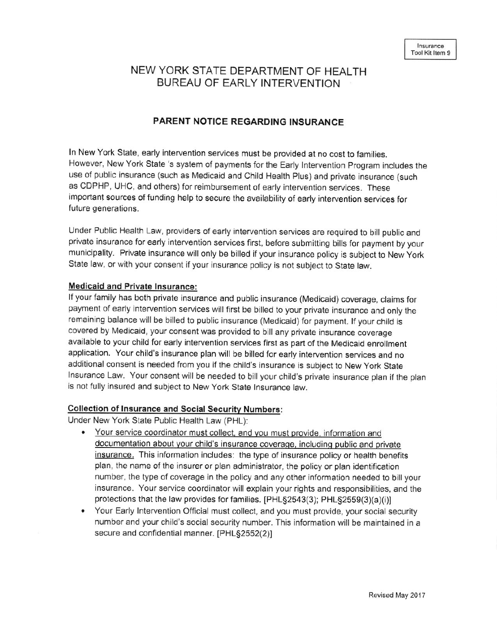# NEW YORK STATE DEPARTMENT OF HEALTH BUREAU OF EARLY INTERVENTION

## PARENT NOTICE REGARDING INSURANCE

ln New York State, early intervention services must be provided at no cost to families. However, New York State 's system of payments for the Early Intervention Program includes the use of public insurance (such as Medicaid and Child Heatth plus) and private insurance (such as CDPHP, UHC, and others) for reimbursement of early intervention services. These important sources of funding help to secure the availability of early intervention services for future generations.

under Public Health Law, providers of early intervention services are required to bill public and private insurance for early intervention services first, before submitting bills for payment by your municipality. Private insurance will only be billed if your insurance policy is subject to New york State law, or with your consent if your insurance policy is not subject to State law.

### Medicaid and Private Insurance:

lf your family has both private insurance and pubtic insurance (Medicaid) coverage, claims for payment of early intervention services will first be billed to your private insurance and only the remaining balance will be billed to public insurance (Medicaid) for payment. lf your child is covered by Medicaid, your consent was provided to bill any private insurance coverage available to your child for early intervention services first as part of the Medicaid enrollment application. Your child's insurance plan will be billed for early intervention services and no additional consent is needed from you if the child's insurance is subject to New York State Insurance Law. Your consent will be needed to bill your child's private insurance plan if the plan is not fully insured and subject to New York State Insurance law.

#### Collection of Insurance and Social Security Numbers:

Under New York State Public Health Law (PHL):

- documentation about your child's insurance coverage, including public and private insurance. This information includes: the type of insurance policy or health benefits plan, the name of the insurer or plan administrator, the policy or plan identification number, the type of coverage in the policy and any other information needed to bill your insurance. Your service coordinator will explain your rights and responsibilities, and the protections that the law provides for families. [PHL§2543(3); PHL§2559(3)(a)(i)] • Your service coordinator must collect, and you must provide, information and
- Your Early lntervention Official must collect, and you must provide, your social security number and your child's social security number. This informalion will be mainlained in a secure and confidential manner. [PHL§2552(2)]